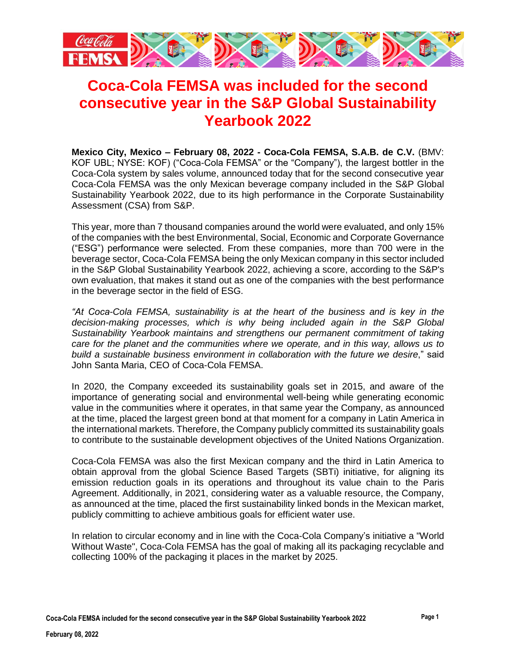

## **Coca-Cola FEMSA was included for the second consecutive year in the S&P Global Sustainability Yearbook 2022**

**Mexico City, Mexico – February 08, 2022 - Coca-Cola FEMSA, S.A.B. de C.V.** (BMV: KOF UBL; NYSE: KOF) ("Coca-Cola FEMSA" or the "Company"), the largest bottler in the Coca-Cola system by sales volume, announced today that for the second consecutive year Coca-Cola FEMSA was the only Mexican beverage company included in the S&P Global Sustainability Yearbook 2022, due to its high performance in the Corporate Sustainability Assessment (CSA) from S&P.

This year, more than 7 thousand companies around the world were evaluated, and only 15% of the companies with the best Environmental, Social, Economic and Corporate Governance ("ESG") performance were selected. From these companies, more than 700 were in the beverage sector, Coca-Cola FEMSA being the only Mexican company in this sector included in the S&P Global Sustainability Yearbook 2022, achieving a score, according to the S&P's own evaluation, that makes it stand out as one of the companies with the best performance in the beverage sector in the field of ESG.

*"At Coca-Cola FEMSA, sustainability is at the heart of the business and is key in the decision-making processes, which is why being included again in the S&P Global Sustainability Yearbook maintains and strengthens our permanent commitment of taking care for the planet and the communities where we operate, and in this way, allows us to build a sustainable business environment in collaboration with the future we desire*," said John Santa Maria, CEO of Coca-Cola FEMSA.

In 2020, the Company exceeded its sustainability goals set in 2015, and aware of the importance of generating social and environmental well-being while generating economic value in the communities where it operates, in that same year the Company, as announced at the time, placed the largest green bond at that moment for a company in Latin America in the international markets. Therefore, the Company publicly committed its sustainability goals to contribute to the sustainable development objectives of the United Nations Organization.

Coca-Cola FEMSA was also the first Mexican company and the third in Latin America to obtain approval from the global Science Based Targets (SBTi) initiative, for aligning its emission reduction goals in its operations and throughout its value chain to the Paris Agreement. Additionally, in 2021, considering water as a valuable resource, the Company, as announced at the time, placed the first sustainability linked bonds in the Mexican market, publicly committing to achieve ambitious goals for efficient water use.

In relation to circular economy and in line with the Coca-Cola Company's initiative a "World Without Waste", Coca-Cola FEMSA has the goal of making all its packaging recyclable and collecting 100% of the packaging it places in the market by 2025.

**Coca-Cola FEMSA included for the second consecutive year in the S&P Global Sustainability Yearbook 2022**